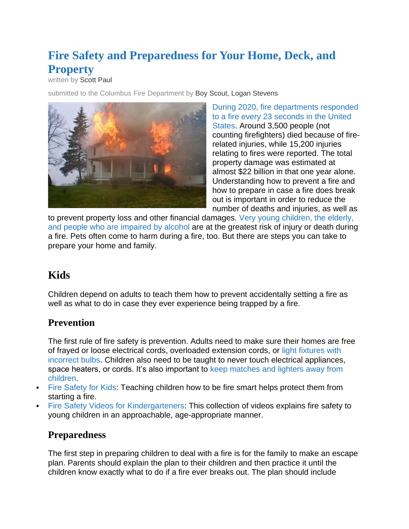# **Fire Safety and Preparedness for Your Home, Deck, and Property**

written by [Scott Paul](https://www.deckstainhelp.com/author/scottpaul/)

submitted to the Columbus Fire Department by [Boy Scout, Logan Stevens](https://www.deckstainhelp.com/author/scottpaul/)



[During 2020, fire departments responded](https://www.nfpa.org/~/media/fd0144a044c84fc5baf90c05c04890b7.ashx)  [to a fire every 23 seconds in the United](https://www.nfpa.org/~/media/fd0144a044c84fc5baf90c05c04890b7.ashx)  [States.](https://www.nfpa.org/~/media/fd0144a044c84fc5baf90c05c04890b7.ashx) Around 3,500 people (not counting firefighters) died because of firerelated injuries, while 15,200 injuries relating to fires were reported. The total property damage was estimated at almost \$22 billion in that one year alone. Understanding how to prevent a fire and how to prepare in case a fire does break out is important in order to reduce the number of deaths and injuries, as well as

to prevent property loss and other financial damages. [Very young children, the elderly,](https://jamanetwork.com/journals/jama/fullarticle/187566)  [and people who are impaired by alcohol](https://jamanetwork.com/journals/jama/fullarticle/187566) are at the greatest risk of injury or death during a fire. Pets often come to harm during a fire, too. But there are steps you can take to prepare your home and family.

# **Kids**

Children depend on adults to teach them how to prevent accidentally setting a fire as well as what to do in case they ever experience being trapped by a fire.

### **Prevention**

The first rule of fire safety is prevention. Adults need to make sure their homes are free of frayed or loose electrical cords, overloaded extension cords, or [light fixtures with](https://www.thespruce.com/wrong-light-bulb-wattage-1152517)  [incorrect bulbs.](https://www.thespruce.com/wrong-light-bulb-wattage-1152517) Children also need to be taught to never touch electrical appliances, space heaters, or cords. It's also important to keep matches and lighters away from [children.](https://www.mass.gov/service-details/prevent-children-from-playing-with-lighters-and-matches)

- [Fire Safety for Kids:](https://www.cityofolean.org/ofd/tips/fire_safety_for_kids.html) Teaching children how to be fire smart helps protect them from starting a fire.
- [Fire Safety Videos for Kindergarteners:](https://www.simplykinder.com/fire-safety-videos-for-kindergarten/) This collection of videos explains fire safety to young children in an approachable, age-appropriate manner.

### **Preparedness**

The first step in preparing children to deal with a fire is for the family to make an escape plan. Parents should explain the plan to their children and then practice it until the children know exactly what to do if a fire ever breaks out. The plan should include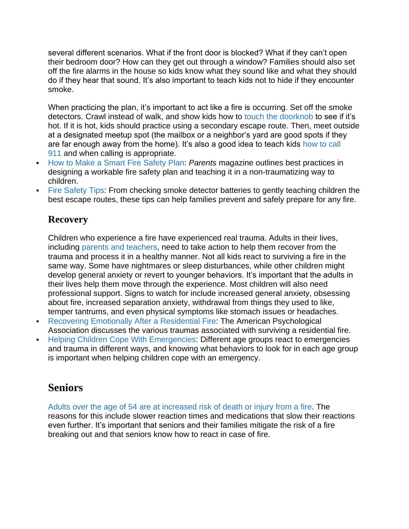several different scenarios. What if the front door is blocked? What if they can't open their bedroom door? How can they get out through a window? Families should also set off the fire alarms in the house so kids know what they sound like and what they should do if they hear that sound. It's also important to teach kids not to hide if they encounter smoke.

When practicing the plan, it's important to act like a fire is occurring. Set off the smoke detectors. Crawl instead of walk, and show kids how to [touch the doorknob](https://louisville.edu/firesafety/fire-emergencies) to see if it's hot. If it is hot, kids should practice using a secondary escape route. Then, meet outside at a designated meetup spot (the mailbox or a neighbor's yard are good spots if they are far enough away from the home). It's also a good idea to teach kids how to call [911](https://www.verizon.com/support/teach-kids-how-to-dial-911/) and when calling is appropriate.

- [How to Make a Smart Fire Safety Plan:](https://www.parents.com/kids/safety/fire/fire-safety-plan/) *Parents* magazine outlines best practices in designing a workable fire safety plan and teaching it in a non-traumatizing way to children.
- [Fire Safety Tips:](https://www.safekids.org/tip/fire-safety-tips) From checking smoke detector batteries to gently teaching children the best escape routes, these tips can help families prevent and safely prepare for any fire.

#### **Recovery**

Children who experience a fire have experienced real trauma. Adults in their lives, including [parents and teachers,](https://www.nasponline.org/resources-and-publications/resources-and-podcasts/school-climate-safety-and-crisis/natural-disaster-resources/helping-children-after-a-wildfire-tips-for-parents-and-teachers) need to take action to help them recover from the trauma and process it in a healthy manner. Not all kids react to surviving a fire in the same way. Some have nightmares or sleep disturbances, while other children might develop general anxiety or revert to younger behaviors. It's important that the adults in their lives help them move through the experience. Most children will also need professional support. Signs to watch for include increased general anxiety, obsessing about fire, increased separation anxiety, withdrawal from things they used to like, temper tantrums, and even physical symptoms like stomach issues or headaches.

- [Recovering Emotionally After a Residential Fire:](https://www.apa.org/topics/disasters-response/residential-fire) The American Psychological Association discusses the various traumas associated with surviving a residential fire.
- **[Helping Children Cope With Emergencies:](https://www.cdc.gov/childrenindisasters/helping-children-cope.html) Different age groups react to emergencies** and trauma in different ways, and knowing what behaviors to look for in each age group is important when helping children cope with an emergency.

# **Seniors**

[Adults over the age of 54 are at increased risk of death or injury from a fire.](https://onlinelibrary.wiley.com/doi/full/10.1002/fam.2823) The reasons for this include slower reaction times and medications that slow their reactions even further. It's important that seniors and their families mitigate the risk of a fire breaking out and that seniors know how to react in case of fire.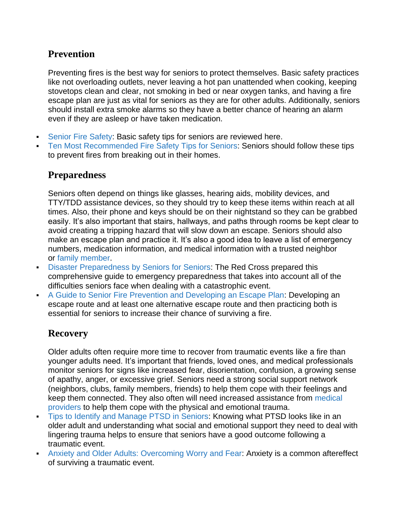## **Prevention**

Preventing fires is the best way for seniors to protect themselves. Basic safety practices like not overloading outlets, never leaving a hot pan unattended when cooking, keeping stovetops clean and clear, not smoking in bed or near oxygen tanks, and having a fire escape plan are just as vital for seniors as they are for other adults. Additionally, seniors should install extra smoke alarms so they have a better chance of hearing an alarm even if they are asleep or have taken medication.

- [Senior Fire Safety:](https://www.mass.gov/service-details/fire-safety-for-seniors) Basic safety tips for seniors are reviewed here.
- [Ten Most](https://www.seniorsafetyreviews.com/10-most-recommended-fire-safety-tips-for-seniors/) [Recommended](https://www.seniorsafetyreviews.com/10-most-recommended-fire-safety-tips-for-seniors/) [Fire Safety Tips for Seniors:](https://www.seniorsafetyreviews.com/10-most-recommended-fire-safety-tips-for-seniors/) Seniors should follow these tips to prevent fires from breaking out in their homes.

#### **Preparedness**

Seniors often depend on things like glasses, hearing aids, mobility devices, and TTY/TDD assistance devices, so they should try to keep these items within reach at all times. Also, their phone and keys should be on their nightstand so they can be grabbed easily. It's also important that stairs, hallways, and paths through rooms be kept clear to avoid creating a tripping hazard that will slow down an escape. Seniors should also make an escape plan and practice it. It's also a good idea to leave a list of emergency numbers, medication information, and medical information with a trusted neighbor or [family member.](https://www.beaherosaveahero.org/older-adult-fire-safety/)

- **EXECT:** [Disaster Preparedness by Seniors for Seniors:](https://www.redcross.org/content/dam/redcross/atg/PDF_s/Preparedness___Disaster_Recovery/Disaster_Preparedness/Disaster_Preparedness_for_Srs-English.revised_7-09.pdf) The Red Cross prepared this comprehensive guide to emergency preparedness that takes into account all of the difficulties seniors face when dealing with a catastrophic event.
- [A Guide to Senior Fire Prevention and Developing an Escape Plan:](https://www.seniorliving.org/fire-prevention-guide/) Developing an escape route and at least one alternative escape route and then practicing both is essential for seniors to increase their chance of surviving a fire.

### **Recovery**

Older adults often require more time to recover from traumatic events like a fire than younger adults need. It's important that friends, loved ones, and medical professionals monitor seniors for signs like increased fear, disorientation, confusion, a growing sense of apathy, anger, or excessive grief. Seniors need a strong social support network (neighbors, clubs, family members, friends) to help them cope with their feelings and keep them connected. They also often will need increased assistance from [medical](https://www.kennedykrieger.org/sites/default/files/library/documents/patient-care/centers-and-programs/traumatic-stress-center/assessing-intervening-and-treating-traumatized-older-adults.pdf)  [providers](https://www.kennedykrieger.org/sites/default/files/library/documents/patient-care/centers-and-programs/traumatic-stress-center/assessing-intervening-and-treating-traumatized-older-adults.pdf) to help them cope with the physical and emotional trauma.

- [Tips to Identify and Manage PTSD in Seniors:](https://www.caringseniorservice.com/blog/ptsd-seniors) Knowing what PTSD looks like in an older adult and understanding what social and emotional support they need to deal with lingering trauma helps to ensure that seniors have a good outcome following a traumatic event.
- [Anxiety and Older Adults: Overcoming Worry and Fear:](https://www.aagponline.org/index.php?src=gendocs&ref=anxiety) Anxiety is a common aftereffect of surviving a traumatic event.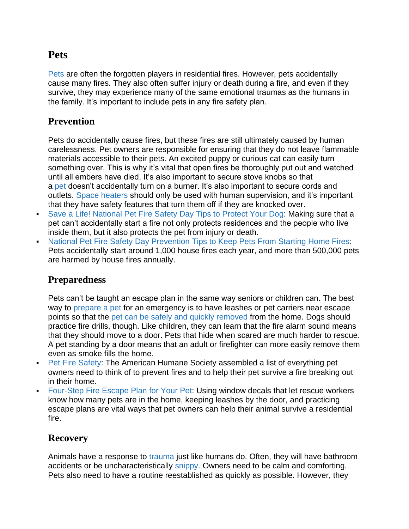# **Pets**

[Pets](https://www.bettercitiesforpets.com/resource/pet-fire-safety-keep-furry-family-safe/) are often the forgotten players in residential fires. However, pets accidentally cause many fires. They also often suffer injury or death during a fire, and even if they survive, they may experience many of the same emotional traumas as the humans in the family. It's important to include pets in any fire safety plan.

#### **Prevention**

Pets do accidentally cause fires, but these fires are still ultimately caused by human carelessness. Pet owners are responsible for ensuring that they do not leave flammable materials accessible to their pets. An excited puppy or curious cat can easily turn something over. This is why it's vital that open fires be thoroughly put out and watched until all embers have died. It's also important to secure stove knobs so that a [pet](https://thebark.com/content/national-pet-fire-safety-day) doesn't accidentally turn on a burner. It's also important to secure cords and outlets. [Space heaters](https://ehs.stanford.edu/wp-content/uploads/Policy-for-Space-Heaters.pdf) should only be used with human supervision, and it's important that they have safety features that turn them off if they are knocked over.

- [Save a Life! National Pet Fire Safety Day Tips to Protect Your Dog:](https://dogtime.com/national-day/18041-pet-fire-safety-day-prevention-tips) Making sure that a pet can't accidentally start a fire not only protects residences and the people who live inside them, but it also protects the pet from injury or death.
- [National Pet Fire Safety Day Prevention Tips to Keep Pets From Starting Home Fires:](https://www.akc.org/press-releases/national-pet-fire-safety-day-prevention-tips-to-keep-pets-from-startin/) Pets accidentally start around 1,000 house fires each year, and more than 500,000 pets are harmed by house fires annually.

#### **Preparedness**

Pets can't be taught an escape plan in the same way seniors or children can. The best way to [prepare a pet](https://www.readyforwildfire.org/prepare-for-wildfire/go-evacuation-guide/animal-evacuation/) for an emergency is to have leashes or pet carriers near escape points so that the [pet can be safely and quickly removed](http://animalalliancenyc.org/needhelp/emergencyprep.htm) from the home. Dogs should practice fire drills, though. Like children, they can learn that the fire alarm sound means that they should move to a door. Pets that hide when scared are much harder to rescue. A pet standing by a door means that an adult or firefighter can more easily remove them even as smoke fills the home.

- **[Pet Fire Safety:](https://www.americanhumane.org/fact-sheet/pet-fire-safety/) The American Humane Society assembled a list of everything pet** owners need to think of to prevent fires and to help their pet survive a fire breaking out in their home.
- [Four-Step Fire Escape Plan for Your Pet:](https://www.petful.com/pet-health/fire-escape-plan-for-pets/) Using window decals that let rescue workers know how many pets are in the home, keeping leashes by the door, and practicing escape plans are vital ways that pet owners can help their animal survive a residential fire.

### **Recovery**

Animals have a response to [trauma](https://pets.webmd.com/dogs-emotional-problems#1) just like humans do. Often, they will have bathroom accidents or be uncharacteristically [snippy.](https://www.animalsurgical.com/anxiety-in-dogs/) Owners need to be calm and comforting. Pets also need to have a routine reestablished as quickly as possible. However, they